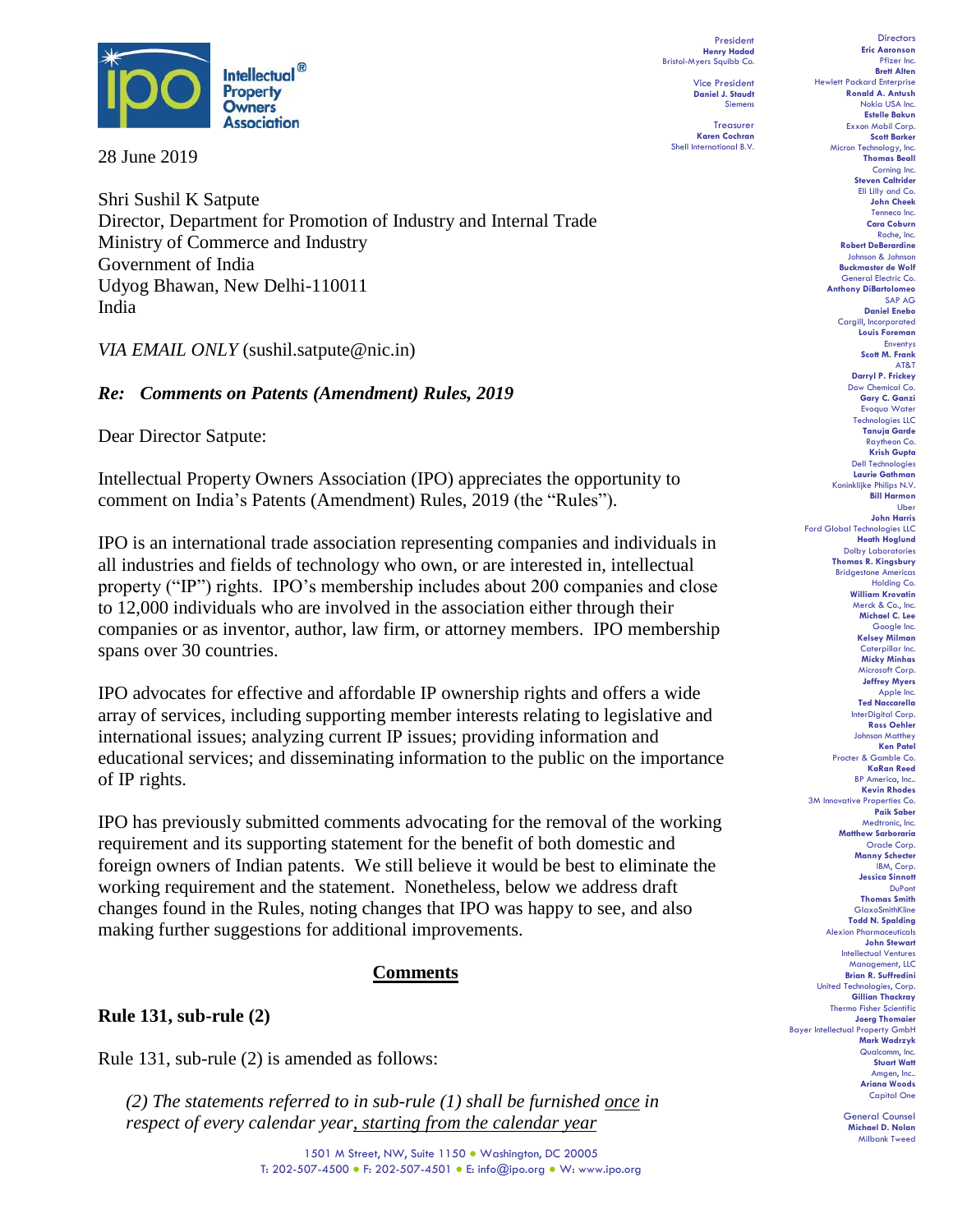

28 June 2019

Shri Sushil K Satpute Director, Department for Promotion of Industry and Internal Trade Ministry of Commerce and Industry Government of India Udyog Bhawan, New Delhi-110011 India

*VIA EMAIL ONLY* (sushil.satpute@nic.in)

### *Re: Comments on Patents (Amendment) Rules, 2019*

Dear Director Satpute:

Intellectual Property Owners Association (IPO) appreciates the opportunity to comment on India's Patents (Amendment) Rules, 2019 (the "Rules").

IPO is an international trade association representing companies and individuals in all industries and fields of technology who own, or are interested in, intellectual property ("IP") rights. IPO's membership includes about 200 companies and close to 12,000 individuals who are involved in the association either through their companies or as inventor, author, law firm, or attorney members. IPO membership spans over 30 countries.

IPO advocates for effective and affordable IP ownership rights and offers a wide array of services, including supporting member interests relating to legislative and international issues; analyzing current IP issues; providing information and educational services; and disseminating information to the public on the importance of IP rights.

IPO has previously submitted comments advocating for the removal of the working requirement and its supporting statement for the benefit of both domestic and foreign owners of Indian patents. We still believe it would be best to eliminate the working requirement and the statement. Nonetheless, below we address draft changes found in the Rules, noting changes that IPO was happy to see, and also making further suggestions for additional improvements.

### **Comments**

#### **Rule 131, sub-rule (2)**

Rule 131, sub-rule (2) is amended as follows:

*(2) The statements referred to in sub-rule (1) shall be furnished once in respect of every calendar year, starting from the calendar year* 

President **Henry Hadad** Bristol-Myers Squibb Co.

Vice President **Daniel J. Staudt** Siemens

Treasurer **Karen Cochran** Shell International B.V.

**Directors Eric Aaronson**  Pfizer Inc. **Brett Alten** Hewlett Packard Enterprise **Ronald A. Antush** Nokia USA Inc. **Estelle Bakun** Exxon Mobil Corp. **Scott Barker** Micron Technology, Inc. **Thomas Beall** Corning Inc. **Steven Caltrider** Eli Lilly and Co. **John Cheek** Tenneco Inc. **Cara Coburn** Roche, Inc. **Robert DeBerardine** Johnson & Johnson **Buckmaster de Wolf** General Electric Co. **Anthony DiBartolomeo** SAP AG **Daniel Enebo** Cargill, Incorporated **Louis Foreman** Enventys **Scott M. Frank** AT&T **Darryl P. Frickey** Dow Chemical Co. **Gary C. Ganzi** Evoqua Water Technologies LLC **Tanuja Garde** Raytheon Co. **Krish Gupta** Dell Technologies **Laurie Gathman** Koninklijke Philips N.V. **Bill Harmon** Uber **John Harris** Ford Global Technologies LLC **Heath Hoglund** Dolby Laboratories **Thomas R. Kingsbury** Bridgestone Americas Holding Co. **William Krovatin** Merck & Co., Inc. **Michael C. Lee** Google Inc. **Kelsey Milman** Caterpillar Inc. **Micky Minhas** Microsoft Corp. **Jeffrey Myers** Apple Inc. **Ted Naccarella** InterDigital Corp. **Ross Oehler** Johnson Matthey **Ken Patel** Procter & Gamble Co. **KaRan Reed** BP America, Inc.. **Kevin Rhodes** 3M Innovative Properties Co. **Paik Saber** Medtronic, Inc. **Matthew Sarboraria** Oracle Corp. **Manny Schecter** IBM, Corp. **Jessica Sinnott** DuPont **Thomas Smith GlaxoSmithKline Todd N. Spalding** Alexion Pharm **John Stewart** Intellectual Ventures Management, LLC **Brian R. Suffredini** United Technologies, Corp. **Gillian Thackray** Thermo Fisher Scientific **Joerg Thomaier** Bayer Intellectual Property GmbH **Mark Wadrzyk** Qualcomm, Inc. **Stuart Watt** Amgen, Inc.. **Ariana Woods** Capital One

> General Counsel **Michael D. Nolan** Milbank Tweed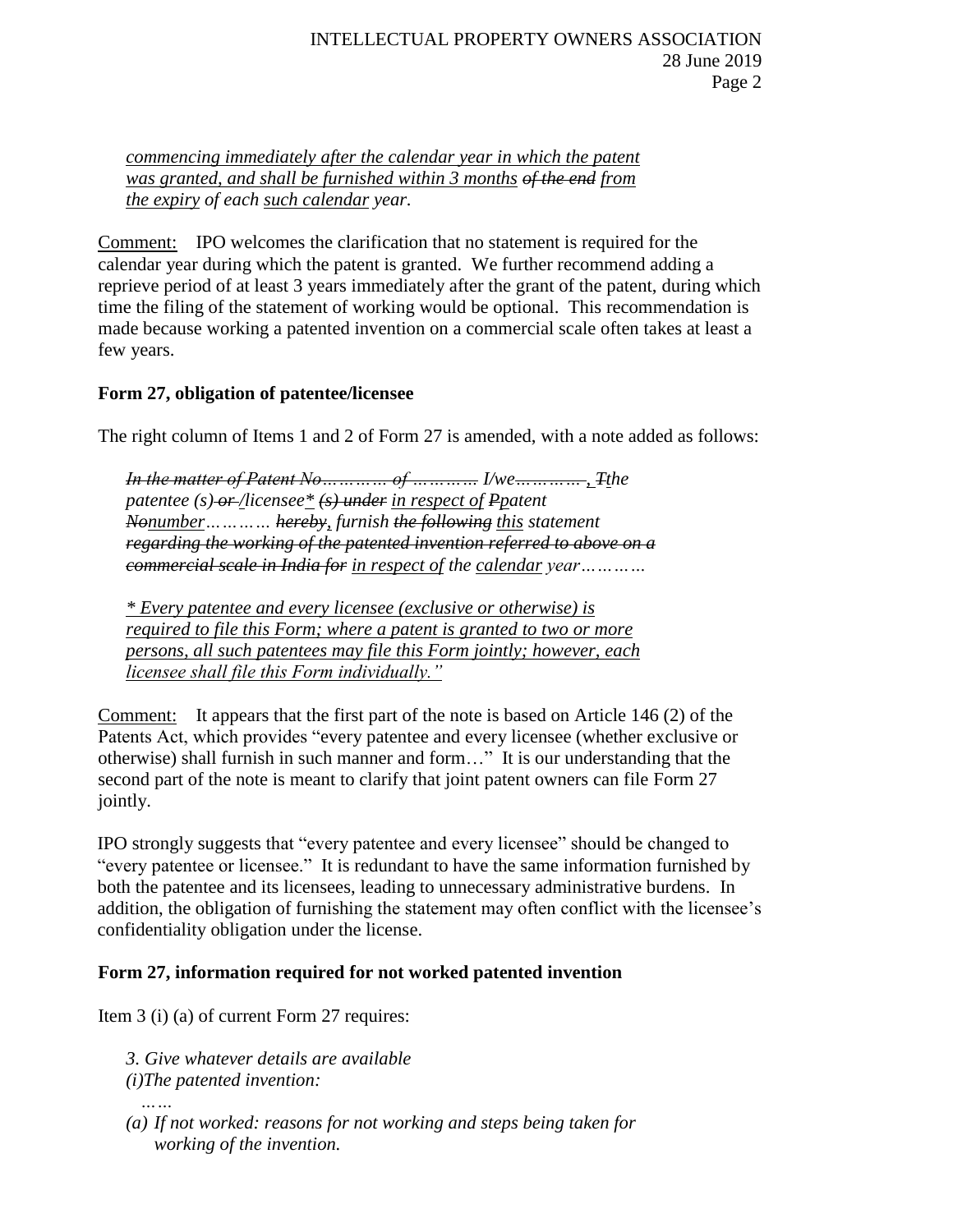*commencing immediately after the calendar year in which the patent was granted, and shall be furnished within 3 months of the end from the expiry of each such calendar year.*

Comment: IPO welcomes the clarification that no statement is required for the calendar year during which the patent is granted. We further recommend adding a reprieve period of at least 3 years immediately after the grant of the patent, during which time the filing of the statement of working would be optional. This recommendation is made because working a patented invention on a commercial scale often takes at least a few years.

## **Form 27, obligation of patentee/licensee**

The right column of Items 1 and 2 of Form 27 is amended, with a note added as follows:

*In the matter of Patent No………… of ………… I/we………… , Tthe patentee (s) or /licensee\* (s) under in respect of Ppatent Nonumber………… hereby, furnish the following this statement regarding the working of the patented invention referred to above on a commercial scale in India for in respect of the calendar year…………*

*\* Every patentee and every licensee (exclusive or otherwise) is required to file this Form; where a patent is granted to two or more persons, all such patentees may file this Form jointly; however, each licensee shall file this Form individually."*

Comment: It appears that the first part of the note is based on Article 146 (2) of the Patents Act, which provides "every patentee and every licensee (whether exclusive or otherwise) shall furnish in such manner and form…" It is our understanding that the second part of the note is meant to clarify that joint patent owners can file Form 27 jointly.

IPO strongly suggests that "every patentee and every licensee" should be changed to "every patentee or licensee." It is redundant to have the same information furnished by both the patentee and its licensees, leading to unnecessary administrative burdens. In addition, the obligation of furnishing the statement may often conflict with the licensee's confidentiality obligation under the license.

# **Form 27, information required for not worked patented invention**

Item 3 (i) (a) of current Form 27 requires:

*3. Give whatever details are available*

*(i)The patented invention:*

*(a) If not worked: reasons for not working and steps being taken for working of the invention.*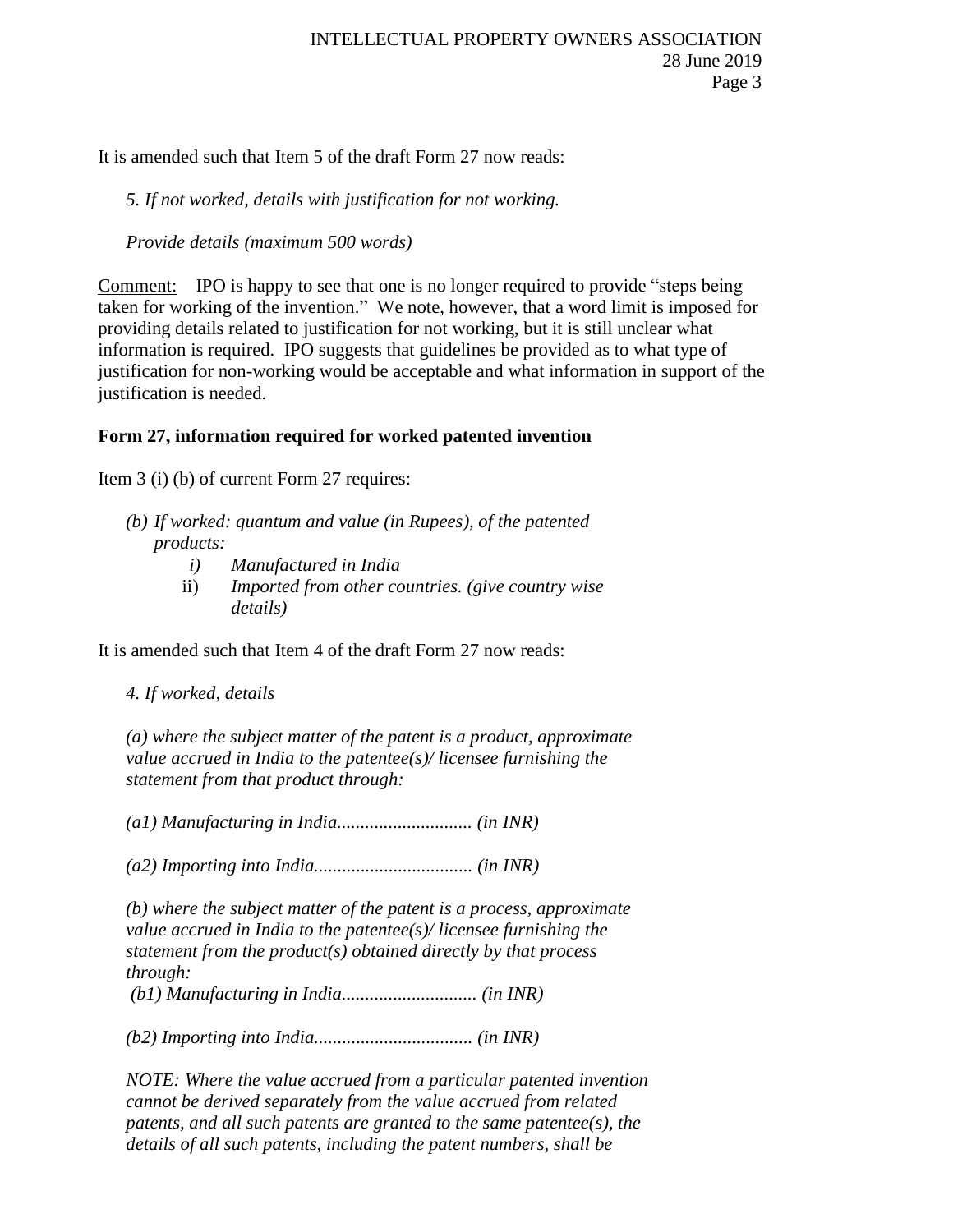It is amended such that Item 5 of the draft Form 27 now reads:

## *5. If not worked, details with justification for not working.*

*Provide details (maximum 500 words)*

Comment: IPO is happy to see that one is no longer required to provide "steps being taken for working of the invention." We note, however, that a word limit is imposed for providing details related to justification for not working, but it is still unclear what information is required. IPO suggests that guidelines be provided as to what type of justification for non-working would be acceptable and what information in support of the justification is needed.

# **Form 27, information required for worked patented invention**

Item 3 (i) (b) of current Form 27 requires:

- *(b) If worked: quantum and value (in Rupees), of the patented products:*
	- *i) Manufactured in India*
	- ii) *Imported from other countries. (give country wise details)*

It is amended such that Item 4 of the draft Form 27 now reads:

*4. If worked, details* 

*(a) where the subject matter of the patent is a product, approximate value accrued in India to the patentee(s)/ licensee furnishing the statement from that product through:* 

*(a1) Manufacturing in India............................. (in INR)* 

*(a2) Importing into India.................................. (in INR)* 

*(b) where the subject matter of the patent is a process, approximate value accrued in India to the patentee(s)/ licensee furnishing the statement from the product(s) obtained directly by that process through: (b1) Manufacturing in India............................. (in INR)* 

*(b2) Importing into India.................................. (in INR)*

*NOTE: Where the value accrued from a particular patented invention cannot be derived separately from the value accrued from related patents, and all such patents are granted to the same patentee(s), the details of all such patents, including the patent numbers, shall be*